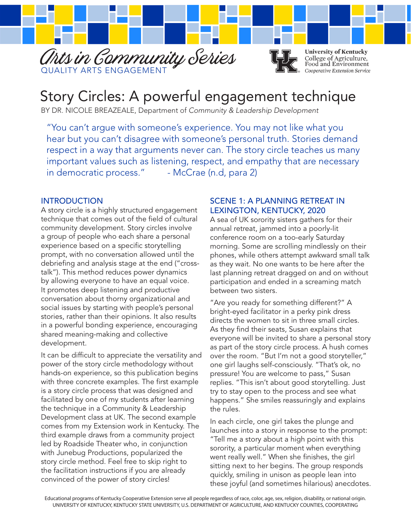



**University of Kentucky** College of Agriculture,<br>Food and Environment Cooperative Extension Service

# Story Circles: A powerful engagement technique

BY DR. NICOLE BREAZEALE, Department of *Community & Leadership Development*

"You can't argue with someone's experience. You may not like what you hear but you can't disagree with someone's personal truth. Stories demand respect in a way that arguments never can. The story circle teaches us many important values such as listening, respect, and empathy that are necessary in democratic process." - McCrae (n.d, para 2)

#### INTRODUCTION

A story circle is a highly structured engagement technique that comes out of the field of cultural community development. Story circles involve a group of people who each share a personal experience based on a specific storytelling prompt, with no conversation allowed until the debriefing and analysis stage at the end ("crosstalk"). This method reduces power dynamics by allowing everyone to have an equal voice. It promotes deep listening and productive conversation about thorny organizational and social issues by starting with people's personal stories, rather than their opinions. It also results in a powerful bonding experience, encouraging shared meaning-making and collective development.

It can be difficult to appreciate the versatility and power of the story circle methodology without hands-on experience, so this publication begins with three concrete examples. The first example is a story circle process that was designed and facilitated by one of my students after learning the technique in a Community & Leadership Development class at UK. The second example comes from my Extension work in Kentucky. The third example draws from a community project led by Roadside Theater who, in conjunction with Junebug Productions, popularized the story circle method. Feel free to skip right to the facilitation instructions if you are already convinced of the power of story circles!

#### SCENE 1: A PLANNING RETREAT IN LEXINGTON, KENTUCKY, 2020

A sea of UK sorority sisters gathers for their annual retreat, jammed into a poorly-lit conference room on a too-early Saturday morning. Some are scrolling mindlessly on their phones, while others attempt awkward small talk as they wait. No one wants to be here after the last planning retreat dragged on and on without participation and ended in a screaming match between two sisters.

"Are you ready for something different?" A bright-eyed facilitator in a perky pink dress directs the women to sit in three small circles. As they find their seats, Susan explains that everyone will be invited to share a personal story as part of the story circle process. A hush comes over the room. "But I'm not a good storyteller," one girl laughs self-consciously. "That's ok, no pressure! You are welcome to pass," Susan replies. "This isn't about good storytelling. Just try to stay open to the process and see what happens." She smiles reassuringly and explains the rules.

In each circle, one girl takes the plunge and launches into a story in response to the prompt: "Tell me a story about a high point with this sorority, a particular moment when everything went really well." When she finishes, the girl sitting next to her begins. The group responds quickly, smiling in unison as people lean into these joyful (and sometimes hilarious) anecdotes.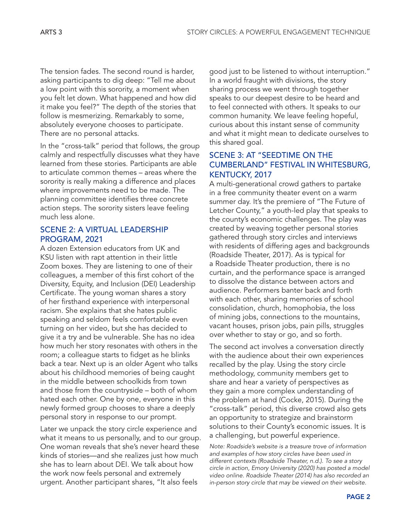The tension fades. The second round is harder, asking participants to dig deep: "Tell me about a low point with this sorority, a moment when you felt let down. What happened and how did it make you feel?" The depth of the stories that follow is mesmerizing. Remarkably to some, absolutely everyone chooses to participate. There are no personal attacks.

In the "cross-talk" period that follows, the group calmly and respectfully discusses what they have learned from these stories. Participants are able to articulate common themes – areas where the sorority is really making a difference and places where improvements need to be made. The planning committee identifies three concrete action steps. The sorority sisters leave feeling much less alone.

#### SCENE 2: A VIRTUAL LEADERSHIP PROGRAM, 2021

A dozen Extension educators from UK and KSU listen with rapt attention in their little Zoom boxes. They are listening to one of their colleagues, a member of this first cohort of the Diversity, Equity, and Inclusion (DEI) Leadership Certificate. The young woman shares a story of her firsthand experience with interpersonal racism. She explains that she hates public speaking and seldom feels comfortable even turning on her video, but she has decided to give it a try and be vulnerable. She has no idea how much her story resonates with others in the room; a colleague starts to fidget as he blinks back a tear. Next up is an older Agent who talks about his childhood memories of being caught in the middle between schoolkids from town and those from the countryside – both of whom hated each other. One by one, everyone in this newly formed group chooses to share a deeply personal story in response to our prompt.

Later we unpack the story circle experience and what it means to us personally, and to our group. One woman reveals that she's never heard these kinds of stories—and she realizes just how much she has to learn about DEI. We talk about how the work now feels personal and extremely urgent. Another participant shares, "It also feels

good just to be listened to without interruption." In a world fraught with divisions, the story sharing process we went through together speaks to our deepest desire to be heard and to feel connected with others. It speaks to our common humanity. We leave feeling hopeful, curious about this instant sense of community and what it might mean to dedicate ourselves to this shared goal.

#### SCENE 3: AT "SEEDTIME ON THE CUMBERLAND" FESTIVAL IN WHITESBURG, KENTUCKY, 2017

A multi-generational crowd gathers to partake in a free community theater event on a warm summer day. It's the premiere of "The Future of Letcher County," a youth-led play that speaks to the county's economic challenges. The play was created by weaving together personal stories gathered through story circles and interviews with residents of differing ages and backgrounds (Roadside Theater, 2017). As is typical for a Roadside Theater production, there is no curtain, and the performance space is arranged to dissolve the distance between actors and audience. Performers banter back and forth with each other, sharing memories of school consolidation, church, homophobia, the loss of mining jobs, connections to the mountains, vacant houses, prison jobs, pain pills, struggles over whether to stay or go, and so forth.

The second act involves a conversation directly with the audience about their own experiences recalled by the play. Using the story circle methodology, community members get to share and hear a variety of perspectives as they gain a more complex understanding of the problem at hand (Cocke, 2015). During the "cross-talk" period, this diverse crowd also gets an opportunity to strategize and brainstorm solutions to their County's economic issues. It is a challenging, but powerful experience.

*Note: Roadside's website is a treasure trove of information and examples of how story circles have been used in different contexts (Roadside Theater, n.d.). To see a story circle in action, Emory University (2020) has posted a model video online. Roadside Theater (2014) has also recorded an in-person story circle that may be viewed on their website.*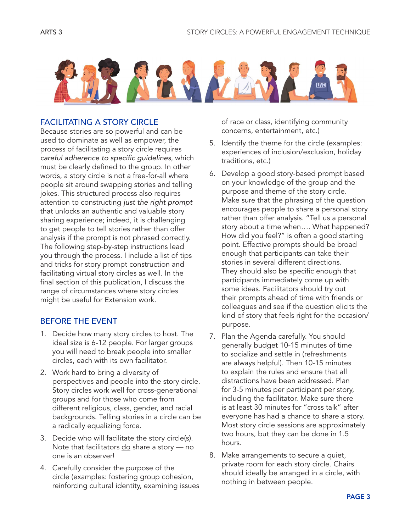

#### FACILITATING A STORY CIRCLE

Because stories are so powerful and can be used to dominate as well as empower, the process of facilitating a story circle requires *careful adherence to specific guidelines*, which must be clearly defined to the group. In other words, a story circle is not a free-for-all where people sit around swapping stories and telling jokes. This structured process also requires attention to constructing *just the right prompt* that unlocks an authentic and valuable story sharing experience; indeed, it is challenging to get people to tell stories rather than offer analysis if the prompt is not phrased correctly. The following step-by-step instructions lead you through the process. I include a list of tips and tricks for story prompt construction and facilitating virtual story circles as well. In the final section of this publication, I discuss the range of circumstances where story circles might be useful for Extension work.

#### BEFORE THE EVENT

- 1. Decide how many story circles to host. The ideal size is 6-12 people. For larger groups you will need to break people into smaller circles, each with its own facilitator.
- 2. Work hard to bring a diversity of perspectives and people into the story circle. Story circles work well for cross-generational groups and for those who come from different religious, class, gender, and racial backgrounds. Telling stories in a circle can be a radically equalizing force.
- 3. Decide who will facilitate the story circle(s). Note that facilitators  $\underline{do}$  share a story — no one is an observer!
- 4. Carefully consider the purpose of the circle (examples: fostering group cohesion, reinforcing cultural identity, examining issues

of race or class, identifying community concerns, entertainment, etc.)

- 5. Identify the theme for the circle (examples: experiences of inclusion/exclusion, holiday traditions, etc.)
- 6. Develop a good story-based prompt based on your knowledge of the group and the purpose and theme of the story circle. Make sure that the phrasing of the question encourages people to share a personal story rather than offer analysis. "Tell us a personal story about a time when…. What happened? How did you feel?" is often a good starting point. Effective prompts should be broad enough that participants can take their stories in several different directions. They should also be specific enough that participants immediately come up with some ideas. Facilitators should try out their prompts ahead of time with friends or colleagues and see if the question elicits the kind of story that feels right for the occasion/ purpose.
- 7. Plan the Agenda carefully. You should generally budget 10-15 minutes of time to socialize and settle in (refreshments are always helpful). Then 10-15 minutes to explain the rules and ensure that all distractions have been addressed. Plan for 3-5 minutes per participant per story, including the facilitator. Make sure there is at least 30 minutes for "cross talk" after everyone has had a chance to share a story. Most story circle sessions are approximately two hours, but they can be done in 1.5 hours.
- 8. Make arrangements to secure a quiet, private room for each story circle. Chairs should ideally be arranged in a circle, with nothing in between people.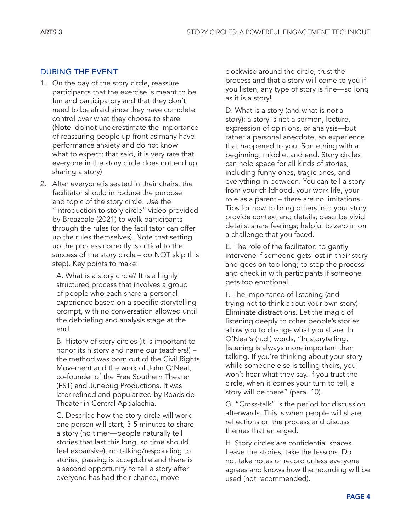#### DURING THE EVENT

- 1. On the day of the story circle, reassure participants that the exercise is meant to be fun and participatory and that they don't need to be afraid since they have complete control over what they choose to share. (Note: do not underestimate the importance of reassuring people up front as many have performance anxiety and do not know what to expect; that said, it is very rare that everyone in the story circle does not end up sharing a story).
- 2. After everyone is seated in their chairs, the facilitator should introduce the purpose and topic of the story circle. Use the "Introduction to story circle" video provided by Breazeale (2021) to walk participants through the rules (or the facilitator can offer up the rules themselves). Note that setting up the process correctly is critical to the success of the story circle – do NOT skip this step). Key points to make:

A. What is a story circle? It is a highly structured process that involves a group of people who each share a personal experience based on a specific storytelling prompt, with no conversation allowed until the debriefing and analysis stage at the end.

B. History of story circles (it is important to honor its history and name our teachers!) – the method was born out of the Civil Rights Movement and the work of John O'Neal, co-founder of the Free Southern Theater (FST) and Junebug Productions. It was later refined and popularized by Roadside Theater in Central Appalachia.

C. Describe how the story circle will work: one person will start, 3-5 minutes to share a story (no timer—people naturally tell stories that last this long, so time should feel expansive), no talking/responding to stories, passing is acceptable and there is a second opportunity to tell a story after everyone has had their chance, move

clockwise around the circle, trust the process and that a story will come to you if you listen, any type of story is fine—so long as it is a story!

D. What is a story (and what is *not* a story): a story is not a sermon, lecture, expression of opinions, or analysis—but rather a personal anecdote, an experience that happened to you. Something with a beginning, middle, and end. Story circles can hold space for all kinds of stories, including funny ones, tragic ones, and everything in between. You can tell a story from your childhood, your work life, your role as a parent – there are no limitations. Tips for how to bring others into your story: provide context and details; describe vivid details; share feelings; helpful to zero in on a challenge that you faced.

E. The role of the facilitator: to gently intervene if someone gets lost in their story and goes on too long; to stop the process and check in with participants if someone gets too emotional.

F. The importance of listening (and trying not to think about your own story). Eliminate distractions. Let the magic of listening deeply to other people's stories allow you to change what you share. In O'Neal's (n.d.) words, "In storytelling, listening is always more important than talking. If you're thinking about your story while someone else is telling theirs, you won't hear what they say. If you trust the circle, when it comes your turn to tell, a story will be there" (para. 10).

G. "Cross-talk" is the period for discussion afterwards. This is when people will share reflections on the process and discuss themes that emerged.

H. Story circles are confidential spaces. Leave the stories, take the lessons. Do not take notes or record unless everyone agrees and knows how the recording will be used (not recommended).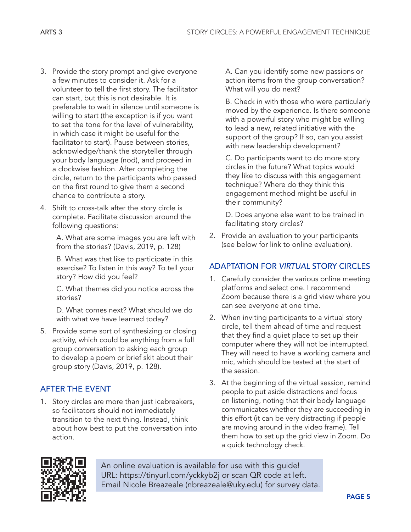- 3. Provide the story prompt and give everyone a few minutes to consider it. Ask for a volunteer to tell the first story. The facilitator can start, but this is not desirable. It is preferable to wait in silence until someone is willing to start (the exception is if you want to set the tone for the level of vulnerability, in which case it might be useful for the facilitator to start). Pause between stories, acknowledge/thank the storyteller through your body language (nod), and proceed in a clockwise fashion. After completing the circle, return to the participants who passed on the first round to give them a second chance to contribute a story.
- 4. Shift to cross-talk after the story circle is complete. Facilitate discussion around the following questions:

A. What are some images you are left with from the stories? (Davis, 2019, p. 128)

B. What was that like to participate in this exercise? To listen in this way? To tell your story? How did you feel?

C. What themes did you notice across the stories?

D. What comes next? What should we do with what we have learned today?

5. Provide some sort of synthesizing or closing activity, which could be anything from a full group conversation to asking each group to develop a poem or brief skit about their group story (Davis, 2019, p. 128).

## AFTER THE EVENT

1. Story circles are more than just icebreakers, so facilitators should not immediately transition to the next thing. Instead, think about how best to put the conversation into action.

A. Can you identify some new passions or action items from the group conversation? What will you do next?

B. Check in with those who were particularly moved by the experience. Is there someone with a powerful story who might be willing to lead a new, related initiative with the support of the group? If so, can you assist with new leadership development?

C. Do participants want to do more story circles in the future? What topics would they like to discuss with this engagement technique? Where do they think this engagement method might be useful in their community?

D. Does anyone else want to be trained in facilitating story circles?

2. Provide an evaluation to your participants (see below for link to online evaluation).

### ADAPTATION FOR *VIRTUAL* STORY CIRCLES

- 1. Carefully consider the various online meeting platforms and select one. I recommend Zoom because there is a grid view where you can see everyone at one time.
- 2. When inviting participants to a virtual story circle, tell them ahead of time and request that they find a quiet place to set up their computer where they will not be interrupted. They will need to have a working camera and mic, which should be tested at the start of the session.
- 3. At the beginning of the virtual session, remind people to put aside distractions and focus on listening, noting that their body language communicates whether they are succeeding in this effort (it can be very distracting if people are moving around in the video frame). Tell them how to set up the grid view in Zoom. Do a quick technology check.



An online evaluation is available for use with this guide! URL: <https://tinyurl.com/yckkyb2j> or scan QR code at left. Email Nicole Breazeale (nbreazeale@uky.edu) for survey data.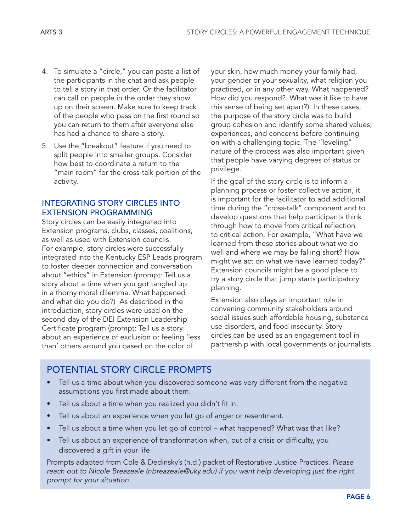- 4. To simulate a "circle," you can paste a list of the participants in the chat and ask people to tell a story in that order. Or the facilitator can call on people in the order they show up on their screen. Make sure to keep track of the people who pass on the first round so you can return to them after everyone else has had a chance to share a story.
- 5. Use the "breakout" feature if you need to split people into smaller groups. Consider how best to coordinate a return to the "main room" for the cross-talk portion of the activity.

#### INTEGRATING STORY CIRCLES INTO EXTENSION PROGRAMMING

Story circles can be easily integrated into Extension programs, clubs, classes, coalitions, as well as used with Extension councils. For example, story circles were successfully integrated into the Kentucky ESP Leads program to foster deeper connection and conversation about "ethics" in Extension (prompt: Tell us a story about a time when you got tangled up in a thorny moral dilemma. What happened and what did you do?) As described in the introduction, story circles were used on the second day of the DEI Extension Leadership Certificate program (prompt: Tell us a story about an experience of exclusion or feeling 'less than' others around you based on the color of

your skin, how much money your family had, your gender or your sexuality, what religion you practiced, or in any other way. What happened? How did you respond? What was it like to have this sense of being set apart?) In these cases, the purpose of the story circle was to build group cohesion and identify some shared values, experiences, and concerns before continuing on with a challenging topic. The "leveling" nature of the process was also important given that people have varying degrees of status or privilege.

If the goal of the story circle is to inform a planning process or foster collective action, it is important for the facilitator to add additional time during the "cross-talk" component and to develop questions that help participants think through how to move from critical reflection to critical action. For example, "What have we learned from these stories about what we do well and where we may be falling short? How might we act on what we have learned today?" Extension councils might be a good place to try a story circle that jump starts participatory planning.

Extension also plays an important role in convening community stakeholders around social issues such affordable housing, substance use disorders, and food insecurity. Story circles can be used as an engagement tool in partnership with local governments or journalists

# POTENTIAL STORY CIRCLE PROMPTS

- Tell us a time about when you discovered someone was very different from the negative assumptions you first made about them.
- Tell us about a time when you realized you didn't fit in.
- Tell us about an experience when you let go of anger or resentment.
- Tell us about a time when you let go of control what happened? What was that like?
- Tell us about an experience of transformation when, out of a crisis or difficulty, you discovered a gift in your life.

Prompts adapted from Cole & Dedinsky's (n.d.) packet of Restorative Justice Practices. *Please reach out to Nicole Breazeale (nbreazeale@uky.edu) if you want help developing just the right prompt for your situation.*